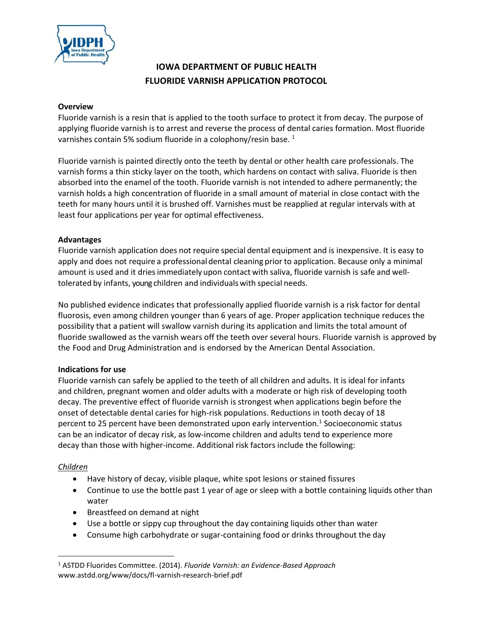

# **IOWA DEPARTMENT OF PUBLIC HEALTH FLUORIDE VARNISH APPLICATION PROTOCOL**

### **Overview**

Fluoride varnish is a resin that is applied to the tooth surface to protect it from decay. The purpose of applying fluoride varnish is to arrest and reverse the process of dental caries formation. Most fluoride varnishes contain 5% sodium fluoride in a colophony/resin base.  $1$ 

Fluoride varnish is painted directly onto the teeth by dental or other health care professionals. The varnish forms a thin sticky layer on the tooth, which hardens on contact with saliva. Fluoride is then absorbed into the enamel of the tooth. Fluoride varnish is not intended to adhere permanently; the varnish holds a high concentration of fluoride in a small amount of material in close contact with the teeth for many hours until it is brushed off. Varnishes must be reapplied at regular intervals with at least four applications per year for optimal effectiveness.

## **Advantages**

Fluoride varnish application does not require special dental equipment and is inexpensive. It is easy to apply and does not require a professionaldental cleaning prior to application. Because only a minimal amount is used and it driesimmediately upon contact with saliva, fluoride varnish is safe and welltolerated by infants, young children and individualswith special needs.

No published evidence indicates that professionally applied fluoride varnish is a risk factor for dental fluorosis, even among children younger than 6 years of age. Proper application technique reduces the possibility that a patient will swallow varnish during its application and limits the total amount of fluoride swallowed as the varnish wears off the teeth over several hours. Fluoride varnish is approved by the Food and Drug Administration and is endorsed by the American Dental Association.

## **Indications for use**

Fluoride varnish can safely be applied to the teeth of all children and adults. It is ideal for infants and children, pregnant women and older adults with a moderate or high risk of developing tooth decay. The preventive effect of fluoride varnish is strongest when applications begin before the onset of detectable dental caries for high-risk populations. Reductions in tooth decay of 18 percent to 25 percent have been demonstrated upon early intervention. 1 Socioeconomic status can be an indicator of decay risk, as low-income children and adults tend to experience more decay than those with higher-income. Additional risk factors include the following:

## *Children*

 $\overline{\phantom{a}}$ 

- Have history of decay, visible plaque, white spot lesions or stained fissures
- Continue to use the bottle past 1 year of age or sleep with a bottle containing liquids other than water
- Breastfeed on demand at night
- Use a bottle or sippy cup throughout the day containing liquids other than water
- Consume high carbohydrate or sugar-containing food or drinks throughout the day

<sup>1</sup> ASTDD Fluorides Committee. (2014). *Fluoride Varnish: an Evidence-Based Approach*  www.astdd.org/www/docs/fl-varnish-research-brief.pdf